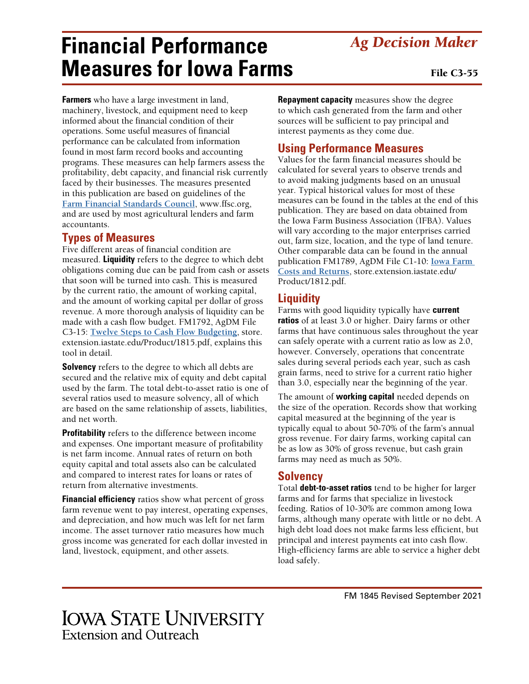## **IOWA STATE UNIVERSITY Extension and Outreach**

# **Financial Performance Measures for Iowa Farms**

**Farmers** who have a large investment in land, machinery, livestock, and equipment need to keep informed about the financial condition of their operations. Some useful measures of financial performance can be calculated from information found in most farm record books and accounting programs. These measures can help farmers assess the profitability, debt capacity, and financial risk currently faced by their businesses. The measures presented in this publication are based on guidelines of the **[Farm Financial Standards Council](http://www.ffsc.org)**, [www.ffsc.org,](http://www.ffsc.org) and are used by most agricultural lenders and farm accountants.

#### **Types of Measures**

Five different areas of financial condition are measured. **Liquidity** refers to the degree to which debt obligations coming due can be paid from cash or assets that soon will be turned into cash. This is measured by the current ratio, the amount of working capital, and the amount of working capital per dollar of gross revenue. A more thorough analysis of liquidity can be made with a cash flow budget. FM1792, AgDM File C3-15: **[Twelve Steps to Cash Flow Budgeting](https://store.extension.iastate.edu/Product/1815.pdf)**, store. extension.iastate.edu/Product/1815.pdf, explains this tool in detail.

**Solvency** refers to the degree to which all debts are secured and the relative mix of equity and debt capital used by the farm. The total debt-to-asset ratio is one of several ratios used to measure solvency, all of which are based on the same relationship of assets, liabilities, and net worth.

**Profitability** refers to the difference between income and expenses. One important measure of profitability is net farm income. Annual rates of return on both equity capital and total assets also can be calculated and compared to interest rates for loans or rates of return from alternative investments.

**Financial efficiency** ratios show what percent of gross farm revenue went to pay interest, operating expenses, and depreciation, and how much was left for net farm income. The asset turnover ratio measures how much gross income was generated for each dollar invested in land, livestock, equipment, and other assets.

**Repayment capacity** measures show the degree to which cash generated from the farm and other sources will be sufficient to pay principal and interest payments as they come due.

### **Using Performance Measures**

Values for the farm financial measures should be calculated for several years to observe trends and to avoid making judgments based on an unusual year. Typical historical values for most of these measures can be found in the tables at the end of this publication. They are based on data obtained from the Iowa Farm Business Association (IFBA). Values will vary according to the major enterprises carried out, farm size, location, and the type of land tenure. Other comparable data can be found in the annual publication FM1789, AgDM File C1-10: **[Iowa Farm](https://store.extension.iastate.edu/Product/1812.pdf)  [Costs and Returns](https://store.extension.iastate.edu/Product/1812.pdf)**, [store.extension.iastate.edu/](https://store.extension.iastate.edu/Product/1812.pdf) [Product/1812.pdf](https://store.extension.iastate.edu/Product/1812.pdf).

#### **Liquidity**

Farms with good liquidity typically have **current ratios** of at least 3.0 or higher. Dairy farms or other farms that have continuous sales throughout the year can safely operate with a current ratio as low as 2.0, however. Conversely, operations that concentrate sales during several periods each year, such as cash grain farms, need to strive for a current ratio higher than 3.0, especially near the beginning of the year.

The amount of **working capital** needed depends on the size of the operation. Records show that working capital measured at the beginning of the year is typically equal to about 50-70% of the farm's annual gross revenue. For dairy farms, working capital can be as low as 30% of gross revenue, but cash grain farms may need as much as 50%.

#### **Solvency**

Total **debt-to-asset ratios** tend to be higher for larger farms and for farms that specialize in livestock feeding. Ratios of 10-30% are common among Iowa farms, although many operate with little or no debt. A high debt load does not make farms less efficient, but principal and interest payments eat into cash flow. High-efficiency farms are able to service a higher debt load safely.

#### File C3-55

*Ag Decision Maker*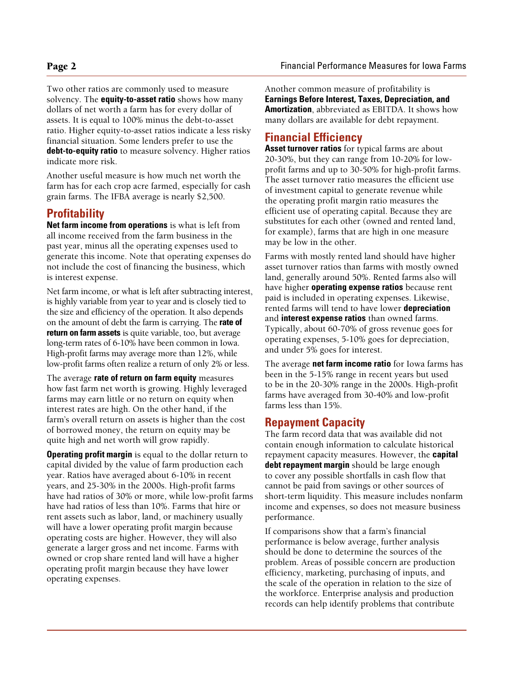Two other ratios are commonly used to measure solvency. The **equity-to-asset ratio** shows how many dollars of net worth a farm has for every dollar of assets. It is equal to 100% minus the debt-to-asset ratio. Higher equity-to-asset ratios indicate a less risky financial situation. Some lenders prefer to use the **debt-to-equity ratio** to measure solvency. Higher ratios indicate more risk.

Another useful measure is how much net worth the farm has for each crop acre farmed, especially for cash grain farms. The IFBA average is nearly \$2,500.

#### **Profitability**

**Net farm income from operations** is what is left from all income received from the farm business in the past year, minus all the operating expenses used to generate this income. Note that operating expenses do not include the cost of financing the business, which is interest expense.

Net farm income, or what is left after subtracting interest, is highly variable from year to year and is closely tied to the size and efficiency of the operation. It also depends on the amount of debt the farm is carrying. The **rate of return on farm assets** is quite variable, too, but average long-term rates of 6-10% have been common in Iowa. High-profit farms may average more than 12%, while low-profit farms often realize a return of only 2% or less.

The average **rate of return on farm equity** measures how fast farm net worth is growing. Highly leveraged farms may earn little or no return on equity when interest rates are high. On the other hand, if the farm's overall return on assets is higher than the cost of borrowed money, the return on equity may be quite high and net worth will grow rapidly.

**Operating profit margin** is equal to the dollar return to capital divided by the value of farm production each year. Ratios have averaged about 6-10% in recent years, and 25-30% in the 2000s. High-profit farms have had ratios of 30% or more, while low-profit farms have had ratios of less than 10%. Farms that hire or rent assets such as labor, land, or machinery usually will have a lower operating profit margin because operating costs are higher. However, they will also generate a larger gross and net income. Farms with owned or crop share rented land will have a higher operating profit margin because they have lower operating expenses.

Another common measure of profitability is **Earnings Before Interest, Taxes, Depreciation, and Amortization**, abbreviated as EBITDA. It shows how many dollars are available for debt repayment.

#### **Financial Efficiency**

**Asset turnover ratios** for typical farms are about 20-30%, but they can range from 10-20% for lowprofit farms and up to 30-50% for high-profit farms. The asset turnover ratio measures the efficient use of investment capital to generate revenue while the operating profit margin ratio measures the efficient use of operating capital. Because they are substitutes for each other (owned and rented land, for example), farms that are high in one measure may be low in the other.

Farms with mostly rented land should have higher asset turnover ratios than farms with mostly owned land, generally around 50%. Rented farms also will have higher **operating expense ratios** because rent paid is included in operating expenses. Likewise, rented farms will tend to have lower **depreciation** and **interest expense ratios** than owned farms. Typically, about 60-70% of gross revenue goes for operating expenses, 5-10% goes for depreciation, and under 5% goes for interest.

The average **net farm income ratio** for Iowa farms has been in the 5-15% range in recent years but used to be in the 20-30% range in the 2000s. High-profit farms have averaged from 30-40% and low-profit farms less than 15%.

#### **Repayment Capacity**

The farm record data that was available did not contain enough information to calculate historical repayment capacity measures. However, the **capital debt repayment margin** should be large enough to cover any possible shortfalls in cash flow that cannot be paid from savings or other sources of short-term liquidity. This measure includes nonfarm income and expenses, so does not measure business performance.

If comparisons show that a farm's financial performance is below average, further analysis should be done to determine the sources of the problem. Areas of possible concern are production efficiency, marketing, purchasing of inputs, and the scale of the operation in relation to the size of the workforce. Enterprise analysis and production records can help identify problems that contribute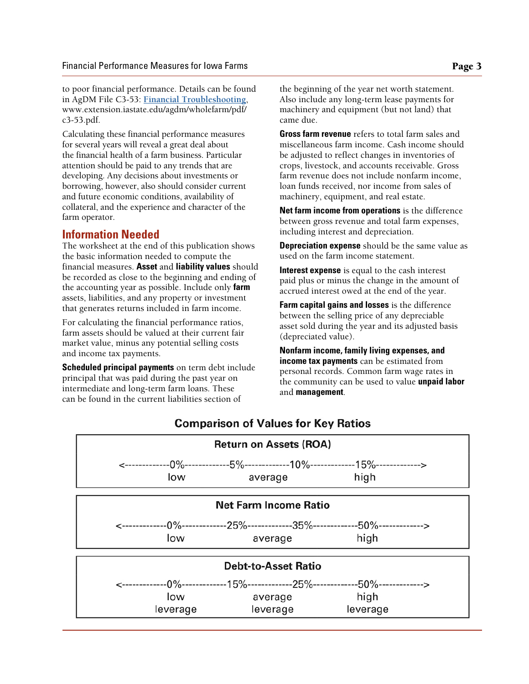to poor financial performance. Details can be found in AgDM File C3-53: **[Financial Troubleshooting](http://www.extension.iastate.edu/agdm/wholefarm/pdf/c3-53.pdf)**, www.extension.iastate.edu/agdm/wholefarm/pdf/ c3-53.pdf.

Calculating these financial performance measures for several years will reveal a great deal about the financial health of a farm business. Particular attention should be paid to any trends that are developing. Any decisions about investments or borrowing, however, also should consider current and future economic conditions, availability of collateral, and the experience and character of the farm operator.

#### **Information Needed**

The worksheet at the end of this publication shows the basic information needed to compute the financial measures. **Asset** and **liability values** should be recorded as close to the beginning and ending of the accounting year as possible. Include only **farm** assets, liabilities, and any property or investment that generates returns included in farm income.

For calculating the financial performance ratios, farm assets should be valued at their current fair market value, minus any potential selling costs and income tax payments.

**Scheduled principal payments** on term debt include principal that was paid during the past year on intermediate and long-term farm loans. These can be found in the current liabilities section of

the beginning of the year net worth statement. Also include any long-term lease payments for machinery and equipment (but not land) that came due.

**Gross farm revenue** refers to total farm sales and miscellaneous farm income. Cash income should be adjusted to reflect changes in inventories of crops, livestock, and accounts receivable. Gross farm revenue does not include nonfarm income, loan funds received, nor income from sales of machinery, equipment, and real estate.

**Net farm income from operations** is the difference between gross revenue and total farm expenses, including interest and depreciation.

**Depreciation expense** should be the same value as used on the farm income statement.

**Interest expense** is equal to the cash interest paid plus or minus the change in the amount of accrued interest owed at the end of the year.

**Farm capital gains and losses** is the difference between the selling price of any depreciable asset sold during the year and its adjusted basis (depreciated value).

**Nonfarm income, family living expenses, and income tax payments** can be estimated from personal records. Common farm wage rates in the community can be used to value **unpaid labor** and **management**.



#### **Comparison of Values for Key Ratios**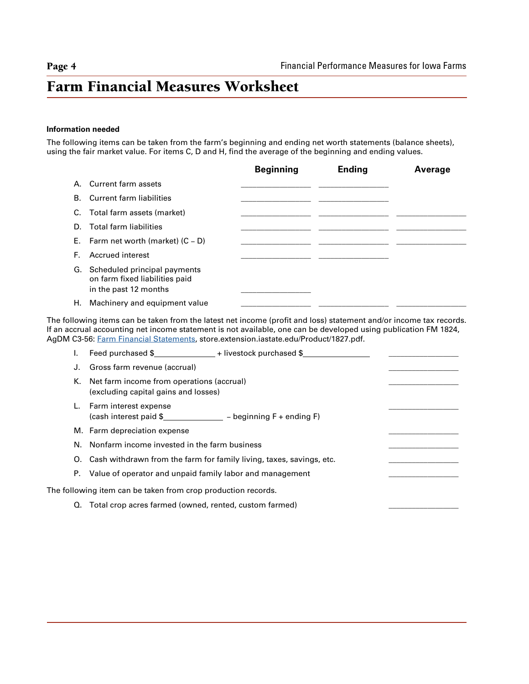### Farm Financial Measures Worksheet

#### **Information needed**

The following items can be taken from the farm's beginning and ending net worth statements (balance sheets), using the fair market value. For items C, D and H, find the average of the beginning and ending values.

|    |                                                                                            | <b>Beginning</b> | <b>Ending</b> | Average |
|----|--------------------------------------------------------------------------------------------|------------------|---------------|---------|
|    | A. Current farm assets                                                                     |                  |               |         |
|    | <b>B.</b> Current farm liabilities                                                         |                  |               |         |
|    | C. Total farm assets (market)                                                              |                  |               |         |
| D. | Total farm liabilities                                                                     |                  |               |         |
|    | E. Farm net worth (market) $(C - D)$                                                       |                  |               |         |
| F. | Accrued interest                                                                           |                  |               |         |
|    | G. Scheduled principal payments<br>on farm fixed liabilities paid<br>in the past 12 months |                  |               |         |
| Н. | Machinery and equipment value                                                              |                  |               |         |

The following items can be taken from the latest net income (profit and loss) statement and/or income tax records. If an accrual accounting net income statement is not available, one can be developed using publication FM 1824, AgDM C3-56: [Farm Financial Statements](http://store.extension.iastate.edu/Product/1827.pdf), store.extension.iastate.edu/Product/1827.pdf.

| J. | Gross farm revenue (accrual)                                                         |  |
|----|--------------------------------------------------------------------------------------|--|
|    | K. Net farm income from operations (accrual)<br>(excluding capital gains and losses) |  |
|    | Farm interest expense<br>$(cash interest paid $$ - beginning $F + ending F$ )        |  |
|    | M. Farm depreciation expense                                                         |  |
|    | N. Nonfarm income invested in the farm business                                      |  |
|    | O. Cash withdrawn from the farm for family living, taxes, savings, etc.              |  |
|    | P. Value of operator and unpaid family labor and management                          |  |
|    | The following item can be taken from crop production records.                        |  |
|    | Q. Total crop acres farmed (owned, rented, custom farmed)                            |  |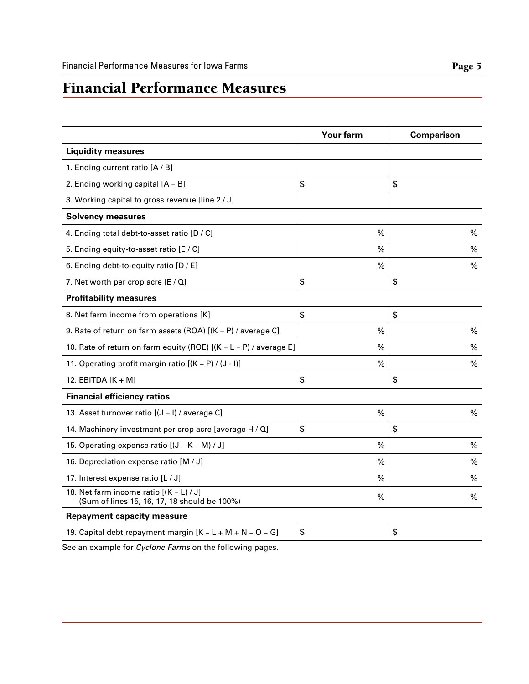### Financial Performance Measures

|                                                                                         | <b>Your farm</b> | <b>Comparison</b> |
|-----------------------------------------------------------------------------------------|------------------|-------------------|
| <b>Liquidity measures</b>                                                               |                  |                   |
| 1. Ending current ratio [A / B]                                                         |                  |                   |
| 2. Ending working capital [A - B]                                                       | \$               | \$                |
| 3. Working capital to gross revenue [line 2 / J]                                        |                  |                   |
| <b>Solvency measures</b>                                                                |                  |                   |
| 4. Ending total debt-to-asset ratio [D / C]                                             | $\%$             | $\%$              |
| 5. Ending equity-to-asset ratio [E / C]                                                 | %                | $\%$              |
| 6. Ending debt-to-equity ratio [D / E]                                                  | %                | $\%$              |
| 7. Net worth per crop acre $[E / Q]$                                                    | \$               | \$                |
| <b>Profitability measures</b>                                                           |                  |                   |
| 8. Net farm income from operations [K]                                                  | \$               | \$                |
| 9. Rate of return on farm assets (ROA) [(K - P) / average C]                            | $\frac{0}{0}$    | $\%$              |
| 10. Rate of return on farm equity (ROE) [(K - L - P) / average E]                       | %                | $\%$              |
| 11. Operating profit margin ratio [(K - P) / (J - I)]                                   | $\%$             | $\%$              |
| 12. EBITDA $[K + M]$                                                                    | \$               | \$                |
| <b>Financial efficiency ratios</b>                                                      |                  |                   |
| 13. Asset turnover ratio [(J - I) / average C]                                          | $\%$             | $\%$              |
| 14. Machinery investment per crop acre [average H / Q]                                  | \$               | \$                |
| 15. Operating expense ratio [(J - K - M) / J]                                           | %                | $\frac{0}{0}$     |
| 16. Depreciation expense ratio [M / J]                                                  | $\%$             | $\%$              |
| 17. Interest expense ratio [L / J]                                                      | %                | $\%$              |
| 18. Net farm income ratio $[(K - L)/J]$<br>(Sum of lines 15, 16, 17, 18 should be 100%) | %                | $\%$              |
| <b>Repayment capacity measure</b>                                                       |                  |                   |
| 19. Capital debt repayment margin $[K - L + M + N - O - G]$                             | \$               | \$                |

See an example for *Cyclone Farms* on the following pages.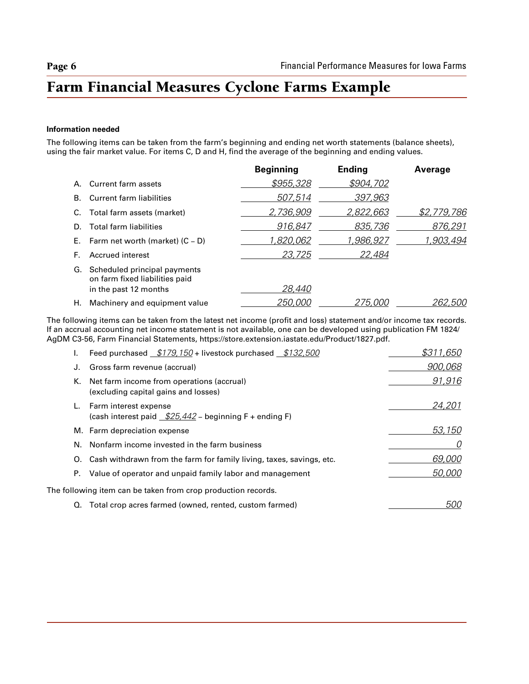# Farm Financial Measures Cyclone Farms Example

#### **Information needed**

The following items can be taken from the farm's beginning and ending net worth statements (balance sheets), using the fair market value. For items C, D and H, find the average of the beginning and ending values.

|    |                                                                | <b>Beginning</b> | <b>Ending</b>    | Average          |
|----|----------------------------------------------------------------|------------------|------------------|------------------|
| А. | Current farm assets                                            | \$955,328        | \$904,702        |                  |
| В. | Current farm liabilities                                       | 507,514          | 397,963          |                  |
|    | C. Total farm assets (market)                                  | 2,736,909        | <u>2,822,663</u> | \$2,779,786      |
| D. | Total farm liabilities                                         | 916,847          | 835,736          | 876,291          |
|    | E. Farm net worth (market) $(C - D)$                           | <u>1,820,062</u> | 1,986,927        | <u>1,903,494</u> |
| F. | Accrued interest                                               | 23,725           | 22,484           |                  |
| G. | Scheduled principal payments<br>on farm fixed liabilities paid |                  |                  |                  |
|    | in the past 12 months                                          | <i>28,440</i>    |                  |                  |
| Н. | Machinery and equipment value                                  | <i>250,000</i>   | 275,000          | <i>262,500</i>   |

The following items can be taken from the latest net income (profit and loss) statement and/or income tax records. If an accrual accounting net income statement is not available, one can be developed using publication FM 1824/ AgDM C3-56, [Farm Financial Statements](https://store.extension.iastate.edu/Product/1827.pdf), https://store.extension.iastate.edu/Product/1827.pdf.

|    | Feed purchased $$179,150+$ livestock purchased $$132,500$                         | \$311,650  |
|----|-----------------------------------------------------------------------------------|------------|
|    | Gross farm revenue (accrual)                                                      | 900,068    |
| К. | Net farm income from operations (accrual)<br>(excluding capital gains and losses) | 91,916     |
|    | Farm interest expense<br>(cash interest paid $$25,442$ – beginning F + ending F)  | 24,201     |
|    | M. Farm depreciation expense                                                      | 53,150     |
|    | N. Nonfarm income invested in the farm business                                   |            |
| O. | Cash withdrawn from the farm for family living, taxes, savings, etc.              | 69,000     |
| Р. | Value of operator and unpaid family labor and management                          | 50,000     |
|    | The following item can be taken from crop production records.                     |            |
| Q. | Total crop acres farmed (owned, rented, custom farmed)                            | <i>500</i> |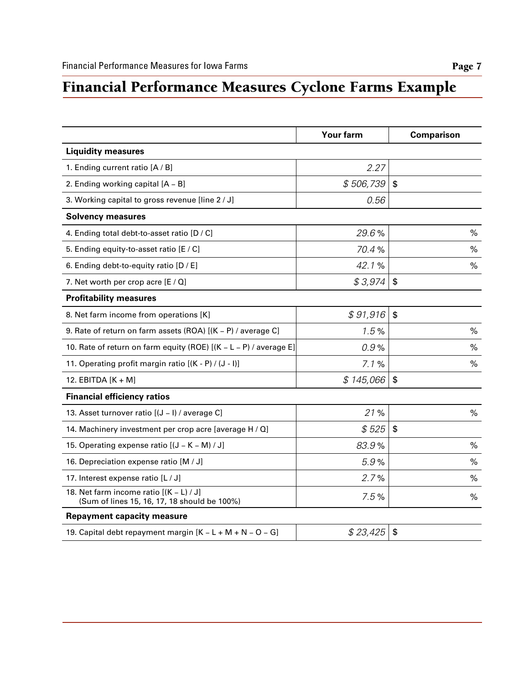# Financial Performance Measures Cyclone Farms Example

|                                                                                         | <b>Your farm</b> | <b>Comparison</b>         |
|-----------------------------------------------------------------------------------------|------------------|---------------------------|
| <b>Liquidity measures</b>                                                               |                  |                           |
| 1. Ending current ratio [A / B]                                                         | 2.27             |                           |
| 2. Ending working capital [A - B]                                                       | \$506,739        | $\boldsymbol{\mathsf{s}}$ |
| 3. Working capital to gross revenue [line 2 / J]                                        | 0.56             |                           |
| <b>Solvency measures</b>                                                                |                  |                           |
| 4. Ending total debt-to-asset ratio [D / C]                                             | 29.6%            | $\%$                      |
| 5. Ending equity-to-asset ratio [E / C]                                                 | 70.4%            | $\%$                      |
| 6. Ending debt-to-equity ratio [D / E]                                                  | 42.1%            | %                         |
| 7. Net worth per crop acre $[E / Q]$                                                    | \$3,974          | $\frac{2}{3}$             |
| <b>Profitability measures</b>                                                           |                  |                           |
| 8. Net farm income from operations [K]                                                  | \$91,916         | \$                        |
| 9. Rate of return on farm assets (ROA) [(K - P) / average C]                            | 1.5%             | $\%$                      |
| 10. Rate of return on farm equity (ROE) [(K - L - P) / average E]                       | 0.9%             | $\%$                      |
| 11. Operating profit margin ratio [(K - P) / (J - I)]                                   | 7.1%             | $\%$                      |
| 12. EBITDA $[K + M]$                                                                    | \$145,066        | \$                        |
| <b>Financial efficiency ratios</b>                                                      |                  |                           |
| 13. Asset turnover ratio [(J - I) / average C]                                          | 21%              | $\%$                      |
| 14. Machinery investment per crop acre [average H / Q]                                  | \$525            | \$                        |
| 15. Operating expense ratio [(J - K - M) / J]                                           | 83.9%            | $\%$                      |
| 16. Depreciation expense ratio [M / J]                                                  | 5.9%             | $\%$                      |
| 17. Interest expense ratio [L / J]                                                      | 2.7%             | %                         |
| 18. Net farm income ratio $[(K - L)/J]$<br>(Sum of lines 15, 16, 17, 18 should be 100%) | 7.5%             | $\%$                      |
| <b>Repayment capacity measure</b>                                                       |                  |                           |
| 19. Capital debt repayment margin [K - L + M + N - O - G]                               | \$23,425         | $\boldsymbol{\hat{z}}$    |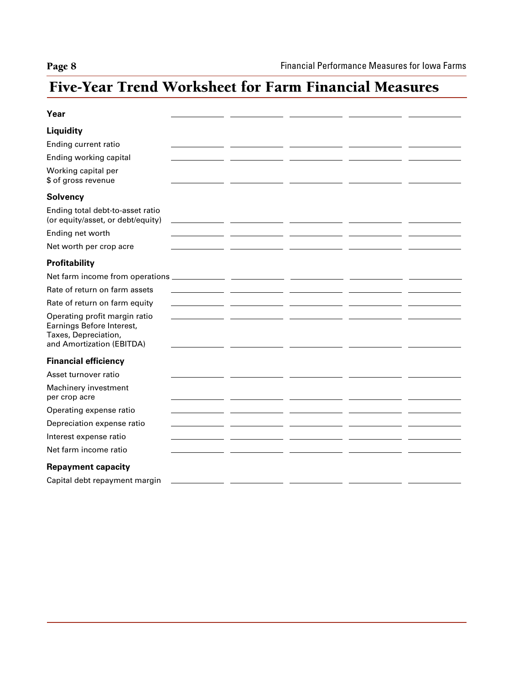# Five-Year Trend Worksheet for Farm Financial Measures

| Year                                                                                                            |                                                                                                                      |  |  |
|-----------------------------------------------------------------------------------------------------------------|----------------------------------------------------------------------------------------------------------------------|--|--|
| Liquidity                                                                                                       |                                                                                                                      |  |  |
| Ending current ratio                                                                                            |                                                                                                                      |  |  |
| Ending working capital                                                                                          |                                                                                                                      |  |  |
| Working capital per<br>\$ of gross revenue                                                                      |                                                                                                                      |  |  |
| <b>Solvency</b>                                                                                                 |                                                                                                                      |  |  |
| Ending total debt-to-asset ratio<br>(or equity/asset, or debt/equity)                                           |                                                                                                                      |  |  |
| Ending net worth                                                                                                |                                                                                                                      |  |  |
| Net worth per crop acre                                                                                         |                                                                                                                      |  |  |
| Profitability                                                                                                   |                                                                                                                      |  |  |
| Net farm income from operations                                                                                 | <u> Liste de la construcción de la construcción de la construcción de la construcción de la construcción de la c</u> |  |  |
| Rate of return on farm assets                                                                                   |                                                                                                                      |  |  |
| Rate of return on farm equity                                                                                   |                                                                                                                      |  |  |
| Operating profit margin ratio<br>Earnings Before Interest,<br>Taxes, Depreciation,<br>and Amortization (EBITDA) |                                                                                                                      |  |  |
| <b>Financial efficiency</b>                                                                                     |                                                                                                                      |  |  |
| Asset turnover ratio                                                                                            |                                                                                                                      |  |  |
| Machinery investment<br>per crop acre                                                                           |                                                                                                                      |  |  |
| Operating expense ratio                                                                                         |                                                                                                                      |  |  |
| Depreciation expense ratio                                                                                      |                                                                                                                      |  |  |
| Interest expense ratio                                                                                          |                                                                                                                      |  |  |
| Net farm income ratio                                                                                           |                                                                                                                      |  |  |
| <b>Repayment capacity</b>                                                                                       |                                                                                                                      |  |  |
| Capital debt repayment margin                                                                                   |                                                                                                                      |  |  |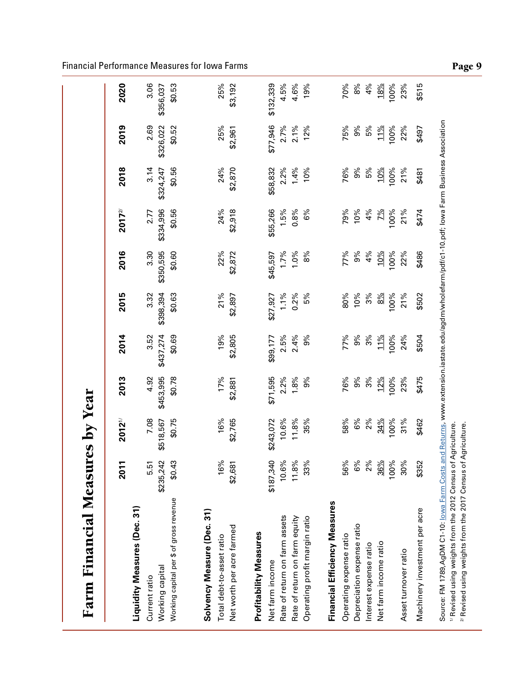|                                         | ᠆<br><b>201</b> | <b>2012</b> <sup>1/</sup> | 2013      | 2014      | 2015            | 2016      | $2017^{27}$ | 2018       | 2019      | 2020      |
|-----------------------------------------|-----------------|---------------------------|-----------|-----------|-----------------|-----------|-------------|------------|-----------|-----------|
|                                         |                 |                           |           |           |                 |           |             |            |           |           |
| Liquidity Measures (Dec. 31)            |                 |                           |           |           |                 |           |             |            |           |           |
| Current ratio                           | 5.51            | 7.08                      | 4.92      | 3.52      | 3.32            | 3.30      | 2.77        | 3.14       | 2.69      | 3.06      |
| Working capital                         | \$235,242       | \$518,567                 | \$453,995 | \$437,274 | \$398,394       | \$350,595 | \$334,996   | \$324,247  | \$326,022 | \$356,037 |
| Working capital per \$ of gross revenue | \$0.43          | \$0.75                    | \$0.78    | \$0.69    | \$0.63          | \$0.60    | \$0.56      | \$0.56     | \$0.52    | \$0.53    |
| Solvency Measure (Dec. 31)              |                 |                           |           |           |                 |           |             |            |           |           |
| Total debt-to-asset ratio               | 16%             | 16%                       | 17%       | 19%       | 21%             | 22%       | 24%         | 24%        | 25%       | 25%       |
| Net worth per acre farmed               | \$2,681         | \$2,765                   | \$2,881   | \$2,805   | \$2,897         | \$2,872   | \$2,918     | \$2,870    | \$2,961   | \$3,192   |
| Profitability Measures                  |                 |                           |           |           |                 |           |             |            |           |           |
| Net farm income                         | \$187,340       | \$243,072                 | \$71,595  | \$99,177  | \$27,927        | \$45,597  | \$55,266    | \$58,832   | \$77,946  | \$132,339 |
| Rate of return on farm assets           | 10.6%           | 10.6%                     | 2.2%      | 2.5%      | $1.1\%$         | 1.7%      | 1.5%        | 2.2%       | 2.7%      | 4.5%      |
| Rate of return on farm equity           | 11.8%           | 11.8%                     | 1.8%      | 2.4%      | 0.2%            | 1.0%      | 0.8%        | 1.4%       | 2.1%      | 4.6%      |
| Operating profit margin ratio           | 33%             | 35%                       | 9%        | 9%        | 5%              | 8%        | 6%          | 10%        | 12%       | 19%       |
| Financial Efficiency Measures           |                 |                           |           |           |                 |           |             |            |           |           |
| Operating expense ratio                 | 56%             | 58%                       | 76%       | 77%       | 80%             | 77%       | 79%         | 76%        | 75%       | 70%       |
| Depreciation expense ratio              | 6%              | 6%                        | 9%        | 9%        | 10%             | 9%        | 10%         | 9%         | 9%        | 8%        |
| Interest expense ratio                  | 2%              | 2%                        | 3%        | 3%        | 3%              | 4%        | 4%          | 5%         | 5%        | 4%        |
| Net farm income ratio                   | 36%             | 34%                       | 12%       | 11%       | $\frac{8\%}{2}$ | 10%       | 2%          | <u>10%</u> | 11%       | 18%       |
|                                         | 100%            | 100%                      | 100%      | 100%      | 100%            | 00%       | 100%        | 100%       | 100%      | 100%      |
| Asset turnover ratio                    | 30%             | 31%                       | 23%       | 24%       | 21%             | 22%       | 21%         | 21%        | 22%       | 23%       |
| Machinery investment per acre           | \$352           | \$462                     | \$475     | \$504     | \$502           | \$486     | \$474       | \$481      | \$497     | \$515     |

Financial Performance Measures for Iowa Farms **Page 9** and the entries of the entries of the entries of the entries